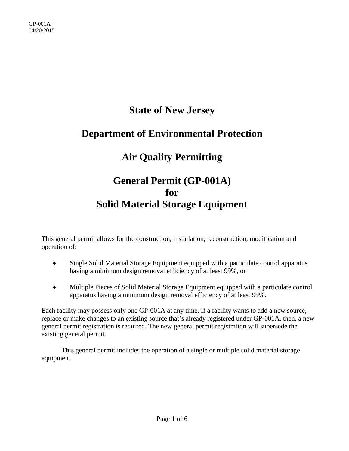## **State of New Jersey**

### **Department of Environmental Protection**

# **Air Quality Permitting**

## **General Permit (GP-001A) for Solid Material Storage Equipment**

This general permit allows for the construction, installation, reconstruction, modification and operation of:

- Single Solid Material Storage Equipment equipped with a particulate control apparatus having a minimum design removal efficiency of at least 99%, or
- Multiple Pieces of Solid Material Storage Equipment equipped with a particulate control apparatus having a minimum design removal efficiency of at least 99%.

Each facility may possess only one GP-001A at any time. If a facility wants to add a new source, replace or make changes to an existing source that's already registered under GP-001A, then, a new general permit registration is required. The new general permit registration will supersede the existing general permit.

This general permit includes the operation of a single or multiple solid material storage equipment.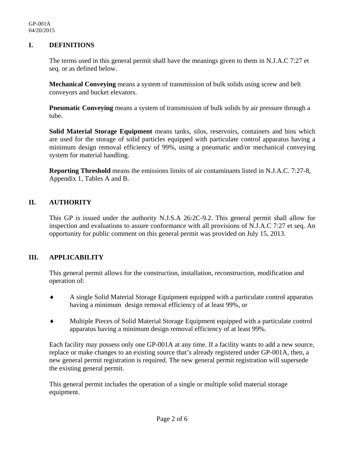#### **I. DEFINITIONS**

The terms used in this general permit shall have the meanings given to them in N.J.A.C 7:27 et seq. or as defined below.

**Mechanical Conveying** means a system of transmission of bulk solids using screw and belt conveyors and bucket elevators.

**Pneumatic Conveying** means a system of transmission of bulk solids by air pressure through a tube.

**Solid Material Storage Equipment** means tanks, silos, reservoirs, containers and bins which are used for the storage of solid particles equipped with particulate control apparatus having a minimum design removal efficiency of 99%, using a pneumatic and/or mechanical conveying system for material handling.

**Reporting Threshold** means the emissions limits of air contaminants listed in N.J.A.C. 7:27-8, Appendix 1, Tables A and B.

#### **II. AUTHORITY**

This GP is issued under the authority N.J.S.A 26:2C-9.2. This general permit shall allow for inspection and evaluations to assure conformance with all provisions of N.J.A.C 7:27 et seq. An opportunity for public comment on this general permit was provided on July 15, 2013.

#### **III. APPLICABILITY**

This general permit allows for the construction, installation, reconstruction, modification and operation of:

- A single Solid Material Storage Equipment equipped with a particulate control apparatus having a minimum design removal efficiency of at least 99%, or
- Multiple Pieces of Solid Material Storage Equipment equipped with a particulate control apparatus having a minimum design removal efficiency of at least 99%.

Each facility may possess only one GP-001A at any time. If a facility wants to add a new source, replace or make changes to an existing source that's already registered under GP-001A, then, a new general permit registration is required. The new general permit registration will supersede the existing general permit.

This general permit includes the operation of a single or multiple solid material storage equipment.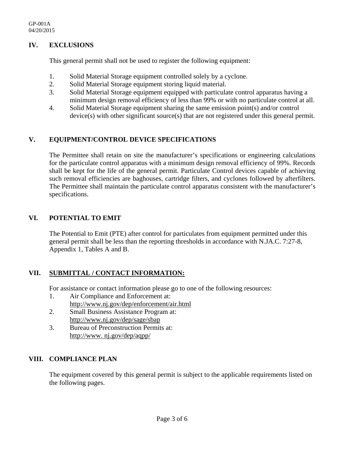#### **IV. EXCLUSIONS**

This general permit shall not be used to register the following equipment:

- 1. Solid Material Storage equipment controlled solely by a cyclone.
- 2. Solid Material Storage equipment storing liquid material.
- 3. Solid Material Storage equipment equipped with particulate control apparatus having a minimum design removal efficiency of less than 99% or with no particulate control at all.
- 4. Solid Material Storage equipment sharing the same emission point(s) and/or control device(s) with other significant source(s) that are not registered under this general permit.

### **V. EQUIPMENT/CONTROL DEVICE SPECIFICATIONS**

The Permittee shall retain on site the manufacturer's specifications or engineering calculations for the particulate control apparatus with a minimum design removal efficiency of 99%. Records shall be kept for the life of the general permit. Particulate Control devices capable of achieving such removal efficiencies are baghouses, cartridge filters, and cyclones followed by afterfilters. The Permittee shall maintain the particulate control apparatus consistent with the manufacturer's specifications.

### **VI. POTENTIAL TO EMIT**

The Potential to Emit (PTE) after control for particulates from equipment permitted under this general permit shall be less than the reporting thresholds in accordance with N.JA.C. 7:27-8, Appendix 1, Tables A and B.

#### **VII. SUBMITTAL / CONTACT INFORMATION:**

For assistance or contact information please go to one of the following resources:

- 1. Air Compliance and Enforcement at: http://www.nj.gov/dep/enforcement/air.html
- 2. Small Business Assistance Program at: http://www.nj.gov/dep/sage/sbap
- 3. Bureau of Preconstruction Permits at: http://www. nj.gov/dep/aqpp/

#### **VIII. COMPLIANCE PLAN**

The equipment covered by this general permit is subject to the applicable requirements listed on the following pages.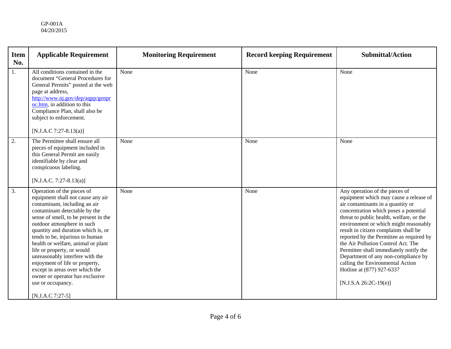| <b>Item</b><br>No. | <b>Applicable Requirement</b>                                                                                                                                                                                                                                                                                                                                                                                                                                                                                                           | <b>Monitoring Requirement</b> | <b>Record keeping Requirement</b> | <b>Submittal/Action</b>                                                                                                                                                                                                                                                                                                                                                                                                                                                                                                                             |
|--------------------|-----------------------------------------------------------------------------------------------------------------------------------------------------------------------------------------------------------------------------------------------------------------------------------------------------------------------------------------------------------------------------------------------------------------------------------------------------------------------------------------------------------------------------------------|-------------------------------|-----------------------------------|-----------------------------------------------------------------------------------------------------------------------------------------------------------------------------------------------------------------------------------------------------------------------------------------------------------------------------------------------------------------------------------------------------------------------------------------------------------------------------------------------------------------------------------------------------|
| 1.                 | All conditions contained in the<br>document "General Procedures for<br>General Permits" posted at the web<br>page at address,<br>http://www.nj.gov/dep/aqpp/genpr<br>oc.htm, in addition to this<br>Compliance Plan, shall also be<br>subject to enforcement.<br>[N.J.A.C 7:27-8.13(a)]                                                                                                                                                                                                                                                 | None                          | None                              | None                                                                                                                                                                                                                                                                                                                                                                                                                                                                                                                                                |
| 2.                 | The Permittee shall ensure all<br>pieces of equipment included in<br>this General Permit are easily<br>identifiable by clear and<br>conspicuous labeling.<br>[N.J.A.C. 7:27-8.13(a)]                                                                                                                                                                                                                                                                                                                                                    | None                          | None                              | None                                                                                                                                                                                                                                                                                                                                                                                                                                                                                                                                                |
| 3.                 | Operation of the pieces of<br>equipment shall not cause any air<br>contaminant, including an air<br>contaminant detectable by the<br>sense of smell, to be present in the<br>outdoor atmosphere in such<br>quantity and duration which is, or<br>tends to be, injurious to human<br>health or welfare, animal or plant<br>life or property, or would<br>unreasonably interfere with the<br>enjoyment of life or property,<br>except in areas over which the<br>owner or operator has exclusive<br>use or occupancy.<br>[N.J.A.C 7:27-5] | None                          | None                              | Any operation of the pieces of<br>equipment which may cause a release of<br>air contaminants in a quantity or<br>concentration which poses a potential<br>threat to public health, welfare, or the<br>environment or which might reasonably<br>result in citizen complaints shall be<br>reported by the Permittee as required by<br>the Air Pollution Control Act. The<br>Permittee shall immediately notify the<br>Department of any non-compliance by<br>calling the Environmental Action<br>Hotline at (877) 927-6337<br>$[N.J.S.A 26:2C-19(e)]$ |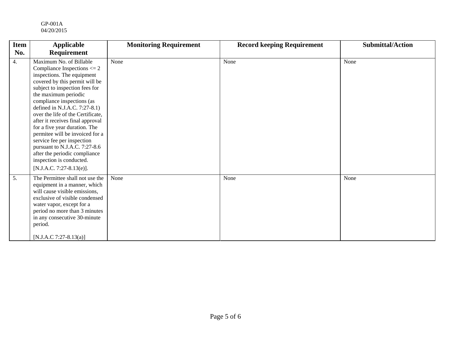#### GP-001A 04/20/2015

| <b>Item</b> | <b>Applicable</b>                                                                                                                                                                                                                                                                                                                                                                                                                                                                                                                                          | <b>Monitoring Requirement</b> | <b>Record keeping Requirement</b> | <b>Submittal/Action</b> |
|-------------|------------------------------------------------------------------------------------------------------------------------------------------------------------------------------------------------------------------------------------------------------------------------------------------------------------------------------------------------------------------------------------------------------------------------------------------------------------------------------------------------------------------------------------------------------------|-------------------------------|-----------------------------------|-------------------------|
| No.         | <b>Requirement</b>                                                                                                                                                                                                                                                                                                                                                                                                                                                                                                                                         |                               |                                   |                         |
| 4.          | Maximum No. of Billable<br>Compliance Inspections $\leq$ 2<br>inspections. The equipment<br>covered by this permit will be<br>subject to inspection fees for<br>the maximum periodic<br>compliance inspections (as<br>defined in N.J.A.C. 7:27-8.1)<br>over the life of the Certificate,<br>after it receives final approval<br>for a five year duration. The<br>permitee will be invoiced for a<br>service fee per inspection<br>pursuant to N.J.A.C. 7:27-8.6<br>after the periodic compliance<br>inspection is conducted.<br>$[N.J.A.C. 7:27-8.13(e)].$ | None                          | None                              | None                    |
| 5.          | The Permittee shall not use the<br>equipment in a manner, which<br>will cause visible emissions,<br>exclusive of visible condensed<br>water vapor, except for a<br>period no more than 3 minutes<br>in any consecutive 30-minute<br>period.<br>[N.J.A.C 7:27-8.13(a)]                                                                                                                                                                                                                                                                                      | None                          | None                              | None                    |